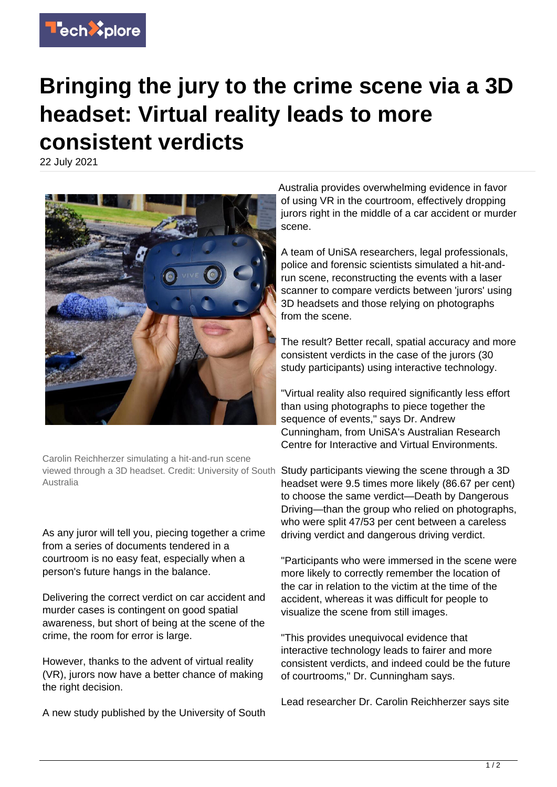

## **Bringing the jury to the crime scene via a 3D headset: Virtual reality leads to more consistent verdicts**

22 July 2021



Carolin Reichherzer simulating a hit-and-run scene viewed through a 3D headset. Credit: University of South Study participants viewing the scene through a 3D Australia

As any juror will tell you, piecing together a crime from a series of documents tendered in a courtroom is no easy feat, especially when a person's future hangs in the balance.

Delivering the correct verdict on car accident and murder cases is contingent on good spatial awareness, but short of being at the scene of the crime, the room for error is large.

However, thanks to the advent of virtual reality (VR), jurors now have a better chance of making the right decision.

A new study published by the University of South

Australia provides overwhelming evidence in favor of using VR in the courtroom, effectively dropping jurors right in the middle of a car accident or murder scene.

A team of UniSA researchers, legal professionals, police and forensic scientists simulated a hit-andrun scene, reconstructing the events with a laser scanner to compare verdicts between 'jurors' using 3D headsets and those relying on photographs from the scene.

The result? Better recall, spatial accuracy and more consistent verdicts in the case of the jurors (30 study participants) using interactive technology.

"Virtual reality also required significantly less effort than using photographs to piece together the sequence of events," says Dr. Andrew Cunningham, from UniSA's Australian Research Centre for Interactive and Virtual Environments.

headset were 9.5 times more likely (86.67 per cent) to choose the same verdict—Death by Dangerous Driving—than the group who relied on photographs, who were split 47/53 per cent between a careless driving verdict and dangerous driving verdict.

"Participants who were immersed in the scene were more likely to correctly remember the location of the car in relation to the victim at the time of the accident, whereas it was difficult for people to visualize the scene from still images.

"This provides unequivocal evidence that interactive technology leads to fairer and more consistent verdicts, and indeed could be the future of courtrooms," Dr. Cunningham says.

Lead researcher Dr. Carolin Reichherzer says site